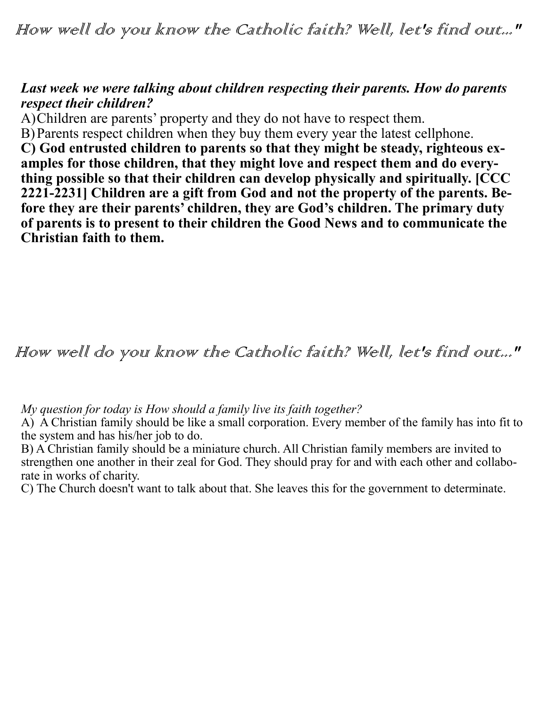How well do you know the Catholic faith? Well, let's find out..."

## *Last week we were talking about children respecting their parents. How do parents respect their children?*

A)Children are parents' property and they do not have to respect them. B)Parents respect children when they buy them every year the latest cellphone. **C) God entrusted children to parents so that they might be steady, righteous examples for those children, that they might love and respect them and do everything possible so that their children can develop physically and spiritually. [CCC 2221-2231] Children are a gift from God and not the property of the parents. Before they are their parents' children, they are God's children. The primary duty of parents is to present to their children the Good News and to communicate the Christian faith to them.**

## How well do you know the Catholic faith? Well, let's find out..."

*My question for today is How should a family live its faith together?*

A) A Christian family should be like a small corporation. Every member of the family has into fit to the system and has his/her job to do.

B) A Christian family should be a miniature church. All Christian family members are invited to strengthen one another in their zeal for God. They should pray for and with each other and collaborate in works of charity.

C) The Church doesn't want to talk about that. She leaves this for the government to determinate.